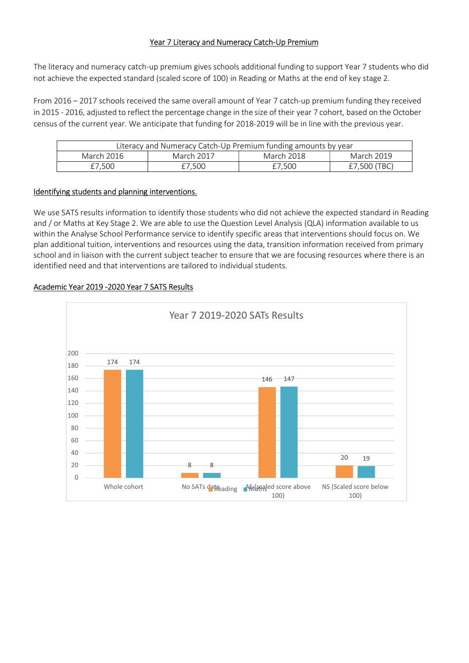# Year 7 Literacy and Numeracy Catch-Up Premium

The literacy and numeracy catch-up premium gives schools additional funding to support Year 7 students who did not achieve the expected standard (scaled score of 100) in Reading or Maths at the end of key stage 2.

From 2016 – 2017 schools received the same overall amount of Year 7 catch-up premium funding they received in 2015 - 2016, adjusted to reflect the percentage change in the size of their year 7 cohort, based on the October census of the current year. We anticipate that funding for 2018-2019 will be in line with the previous year.

| Literacy and Numeracy Catch-Up Premium funding amounts by year |            |            |              |
|----------------------------------------------------------------|------------|------------|--------------|
| March 2016                                                     | March 2017 | March 2018 | March 2019   |
| £7.500                                                         | £7.500     | £7.500     | £7,500 (TBC) |

### Identifying students and planning interventions.

We use SATS results information to identify those students who did not achieve the expected standard in Reading and / or Maths at Key Stage 2. We are able to use the Question Level Analysis (QLA) information available to us within the Analyse School Performance service to identify specific areas that interventions should focus on. We plan additional tuition, interventions and resources using the data, transition information received from primary school and in liaison with the current subject teacher to ensure that we are focusing resources where there is an identified need and that interventions are tailored to individual students.



### Academic Year 2019 -2020 Year 7 SATS Results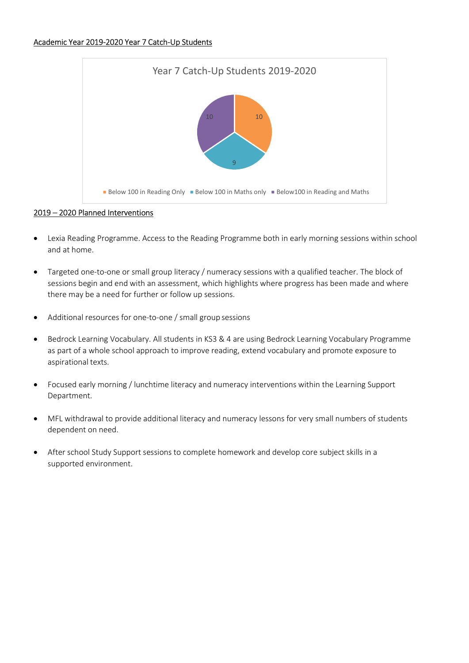### Academic Year 2019-2020 Year 7 Catch-Up Students



# 2019 – 2020 Planned Interventions

- Lexia Reading Programme. Access to the Reading Programme both in early morning sessions within school and at home.
- Targeted one-to-one or small group literacy / numeracy sessions with a qualified teacher. The block of sessions begin and end with an assessment, which highlights where progress has been made and where there may be a need for further or follow up sessions.
- Additional resources for one-to-one / small group sessions
- Bedrock Learning Vocabulary. All students in KS3 & 4 are using Bedrock Learning Vocabulary Programme as part of a whole school approach to improve reading, extend vocabulary and promote exposure to aspirational texts.
- Focused early morning / lunchtime literacy and numeracy interventions within the Learning Support Department.
- MFL withdrawal to provide additional literacy and numeracy lessons for very small numbers of students dependent on need.
- After school Study Support sessions to complete homework and develop core subject skills in a supported environment.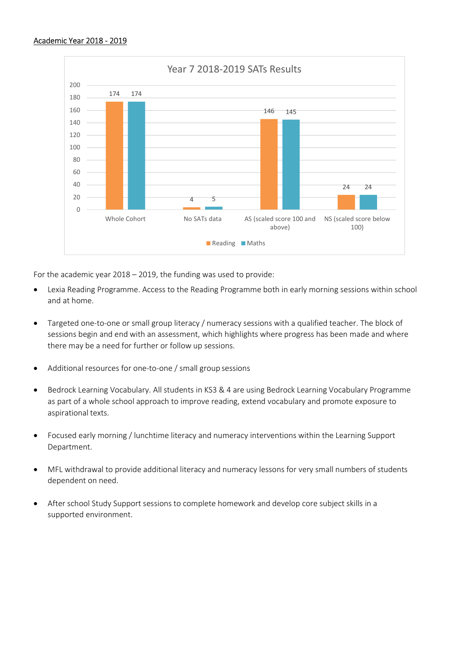

For the academic year 2018 – 2019, the funding was used to provide:

- Lexia Reading Programme. Access to the Reading Programme both in early morning sessions within school and at home.
- Targeted one-to-one or small group literacy / numeracy sessions with a qualified teacher. The block of sessions begin and end with an assessment, which highlights where progress has been made and where there may be a need for further or follow up sessions.
- Additional resources for one-to-one / small group sessions
- Bedrock Learning Vocabulary. All students in KS3 & 4 are using Bedrock Learning Vocabulary Programme as part of a whole school approach to improve reading, extend vocabulary and promote exposure to aspirational texts.
- Focused early morning / lunchtime literacy and numeracy interventions within the Learning Support Department.
- MFL withdrawal to provide additional literacy and numeracy lessons for very small numbers of students dependent on need.
- After school Study Support sessions to complete homework and develop core subject skills in a supported environment.